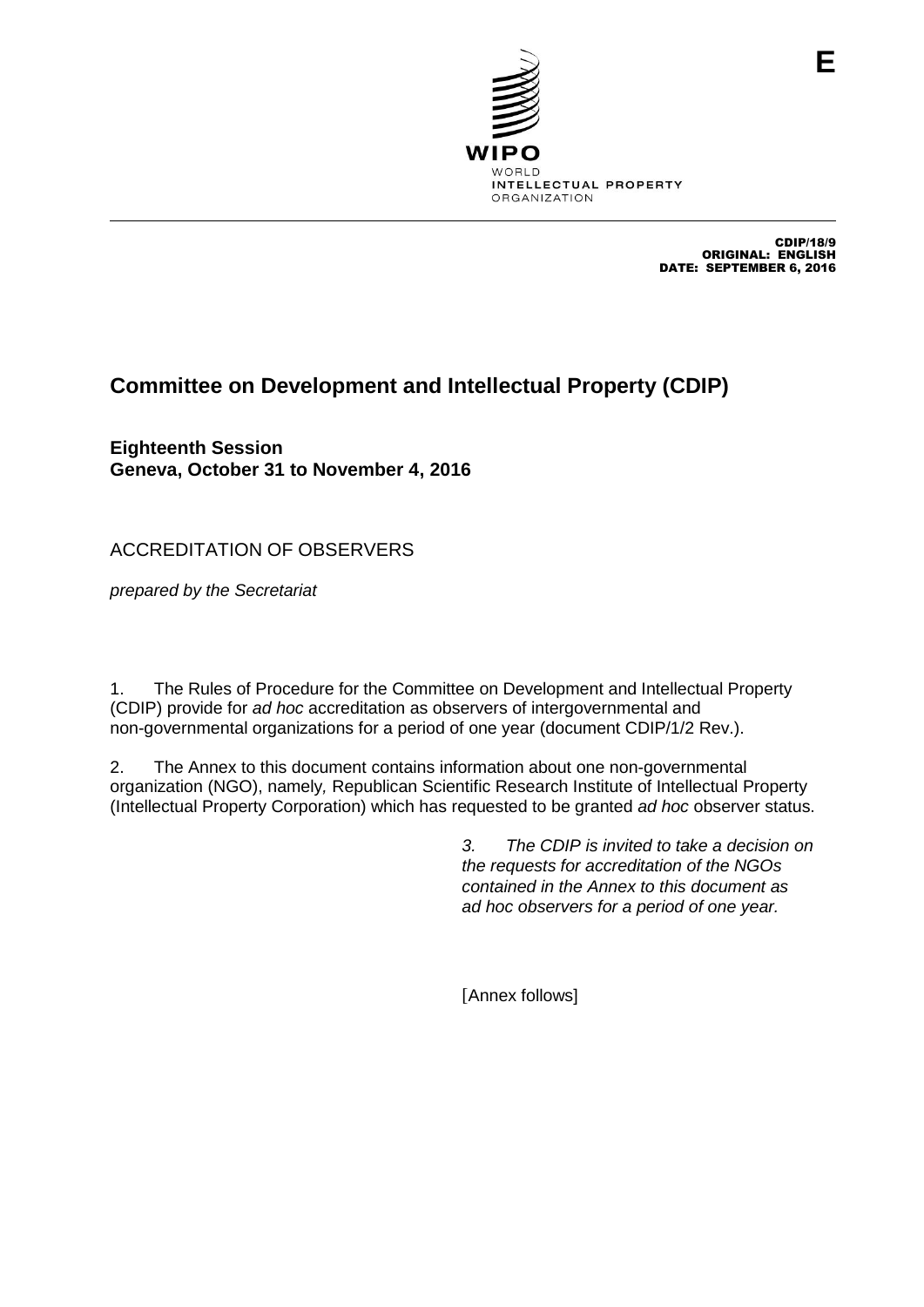

CDIP/18/9 ORIGINAL: ENGLISH DATE: SEPTEMBER 6, 2016

## **Committee on Development and Intellectual Property (CDIP)**

**Eighteenth Session Geneva, October 31 to November 4, 2016**

ACCREDITATION OF OBSERVERS

*prepared by the Secretariat*

1. The Rules of Procedure for the Committee on Development and Intellectual Property (CDIP) provide for *ad hoc* accreditation as observers of intergovernmental and non-governmental organizations for a period of one year (document CDIP/1/2 Rev.).

2. The Annex to this document contains information about one non-governmental organization (NGO), namely*,* Republican Scientific Research Institute of Intellectual Property (Intellectual Property Corporation) which has requested to be granted *ad hoc* observer status.

> *3. The CDIP is invited to take a decision on the requests for accreditation of the NGOs contained in the Annex to this document as ad hoc observers for a period of one year.*

[Annex follows]